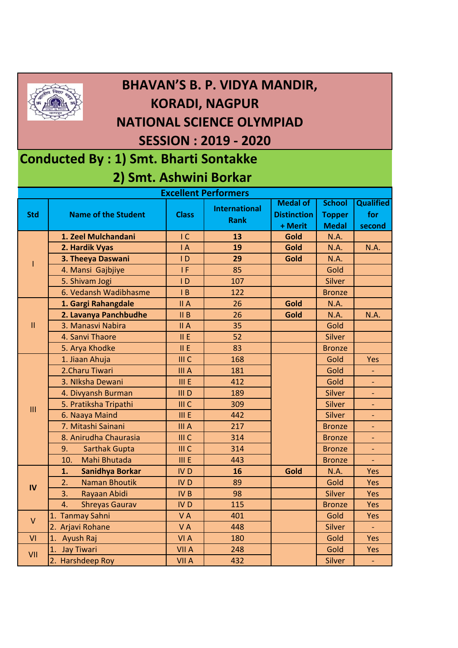

## **BHAVAN'S B. P. VIDYA MANDIR, KORADI, NAGPUR NATIONAL SCIENCE OLYMPIAD SESSION : 2019 - 2020**

## **Conducted By : 1) Smt. Bharti Sontakke 2) Smt. Ashwini Borkar**

| <b>Excellent Performers</b> |                              |                  |                                     |                                       |                                |                         |  |  |  |  |
|-----------------------------|------------------------------|------------------|-------------------------------------|---------------------------------------|--------------------------------|-------------------------|--|--|--|--|
| <b>Std</b>                  | <b>Name of the Student</b>   | <b>Class</b>     | <b>International</b><br><b>Rank</b> | <b>Medal of</b><br><b>Distinction</b> | <b>School</b><br><b>Topper</b> | <b>Qualified</b><br>for |  |  |  |  |
|                             |                              |                  |                                     | + Merit                               | <b>Medal</b>                   | second                  |  |  |  |  |
| T                           | 1. Zeel Mulchandani          | $\overline{C}$   | 13                                  | Gold                                  | <b>N.A.</b>                    |                         |  |  |  |  |
|                             | 2. Hardik Vyas               | $\overline{A}$   | 19                                  | Gold                                  | <b>N.A.</b>                    | N.A.                    |  |  |  |  |
|                             | 3. Theeya Daswani            | $\mathsf{I}$     | 29                                  | Gold                                  | N.A.                           |                         |  |  |  |  |
|                             | 4. Mansi Gajbjiye            | IF.              | 85                                  |                                       | Gold                           |                         |  |  |  |  |
|                             | 5. Shivam Jogi               | $\overline{D}$   | 107                                 |                                       | Silver                         |                         |  |  |  |  |
|                             | 6. Vedansh Wadibhasme        | B                | 122                                 |                                       | <b>Bronze</b>                  |                         |  |  |  |  |
| $\mathbf{II}$               | 1. Gargi Rahangdale          | II A             | 26                                  | Gold                                  | <b>N.A.</b>                    |                         |  |  |  |  |
|                             | 2. Lavanya Panchbudhe        | $II$ B           | 26                                  | Gold                                  | <b>N.A.</b>                    | N.A.                    |  |  |  |  |
|                             | 3. Manasvi Nabira            | II A             | 35                                  |                                       | Gold                           |                         |  |  |  |  |
|                             | 4. Sanvi Thaore              | II E             | 52                                  |                                       | Silver                         |                         |  |  |  |  |
|                             | 5. Arya Khodke               | II E             | 83                                  |                                       | <b>Bronze</b>                  |                         |  |  |  |  |
| III                         | 1. Jiaan Ahuja               | III <sub>C</sub> | 168                                 |                                       | Gold                           | Yes                     |  |  |  |  |
|                             | 2. Charu Tiwari              | <b>III</b> A     | 181                                 |                                       | Gold                           | ÷                       |  |  |  |  |
|                             | 3. NIksha Dewani             | III E            | 412                                 |                                       | Gold                           | ÷,                      |  |  |  |  |
|                             | 4. Divyansh Burman           | III D            | 189                                 |                                       | <b>Silver</b>                  |                         |  |  |  |  |
|                             | 5. Pratiksha Tripathi        | III C            | 309                                 |                                       | Silver                         |                         |  |  |  |  |
|                             | 6. Naaya Maind               | III E            | 442                                 |                                       | Silver                         |                         |  |  |  |  |
|                             | 7. Mitashi Sainani           | III A            | 217                                 |                                       | <b>Bronze</b>                  | ۳                       |  |  |  |  |
|                             | 8. Anirudha Chaurasia        | III C            | 314                                 |                                       | <b>Bronze</b>                  | ÷,                      |  |  |  |  |
|                             | 9.<br><b>Sarthak Gupta</b>   | III C            | 314                                 |                                       | <b>Bronze</b>                  |                         |  |  |  |  |
|                             | Mahi Bhutada<br>10.          | III E            | 443                                 |                                       | <b>Bronze</b>                  |                         |  |  |  |  |
| IV                          | <b>Sanidhya Borkar</b><br>1. | IV <sub>D</sub>  | 16                                  | Gold                                  | <b>N.A.</b>                    | Yes                     |  |  |  |  |
|                             | 2.<br><b>Naman Bhoutik</b>   | <b>IVD</b>       | 89                                  |                                       | Gold                           | Yes                     |  |  |  |  |
|                             | 3.<br>Rayaan Abidi           | IV <sub>B</sub>  | 98                                  |                                       | <b>Silver</b>                  | Yes                     |  |  |  |  |
|                             | 4.<br><b>Shreyas Gaurav</b>  | IV <sub>D</sub>  | 115                                 |                                       | <b>Bronze</b>                  | Yes                     |  |  |  |  |
| $\vee$                      | 1. Tanmay Sahni              | VA               | 401                                 |                                       | Gold                           | Yes                     |  |  |  |  |
|                             | 2. Arjavi Rohane             | VA               | 448                                 |                                       | <b>Silver</b>                  |                         |  |  |  |  |
| VI                          | 1. Ayush Raj                 | VI A             | 180                                 |                                       | Gold                           | Yes                     |  |  |  |  |
| VII                         | <b>Jay Tiwari</b><br>1.      | <b>VII A</b>     | 248                                 |                                       | Gold                           | Yes                     |  |  |  |  |
|                             | 2. Harshdeep Roy             | <b>VII A</b>     | 432                                 |                                       | Silver                         |                         |  |  |  |  |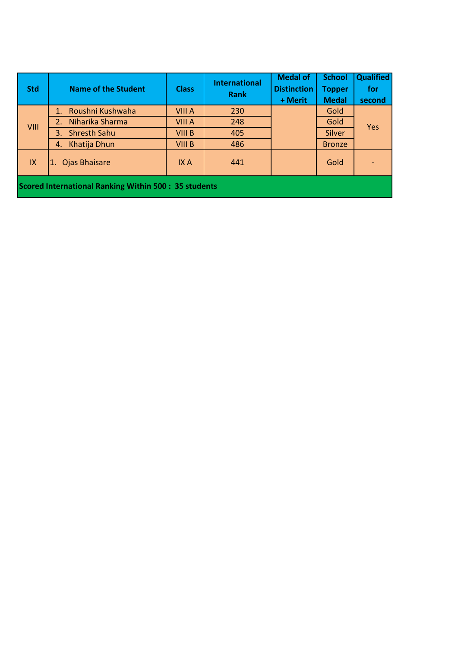| <b>Std</b>                                                  | <b>Name of the Student</b> | <b>Class</b>  | <b>International</b><br><b>Rank</b> | <b>Medal of</b><br><b>Distinction</b> | <b>School</b><br><b>Topper</b> | <b>Qualified</b><br>for |  |  |  |
|-------------------------------------------------------------|----------------------------|---------------|-------------------------------------|---------------------------------------|--------------------------------|-------------------------|--|--|--|
|                                                             |                            |               |                                     | + Merit                               | <b>Medal</b>                   | second                  |  |  |  |
| VIII                                                        | Roushni Kushwaha<br>1.     | VIII A        | 230                                 |                                       | Gold                           | <b>Yes</b>              |  |  |  |
|                                                             | Niharika Sharma<br>2.      | VIII A        | 248                                 |                                       | Gold                           |                         |  |  |  |
|                                                             | <b>Shresth Sahu</b><br>3.  | VIII B        | 405                                 |                                       | <b>Silver</b>                  |                         |  |  |  |
|                                                             | Khatija Dhun<br>4.         | <b>VIII B</b> | 486                                 |                                       | <b>Bronze</b>                  |                         |  |  |  |
| IX                                                          | 1. Ojas Bhaisare           | IX A          | 441                                 |                                       | Gold                           |                         |  |  |  |
| <b>Scored International Ranking Within 500: 35 students</b> |                            |               |                                     |                                       |                                |                         |  |  |  |